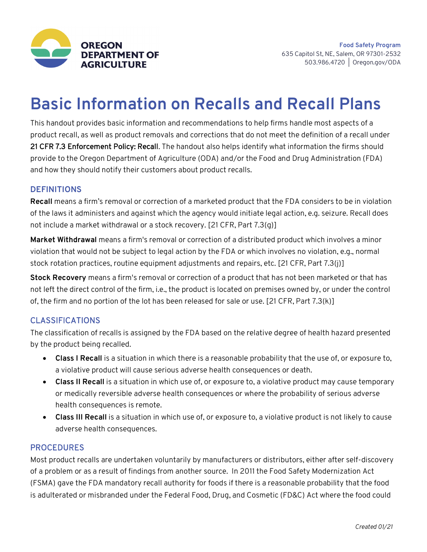

# **Basic Information on Recalls and Recall Plans**

This handout provides basic information and recommendations to help firms handle most aspects of a product recall, as well as product removals and corrections that do not meet the definition of a recall under 21 CFR 7.3 Enforcement Policy: Recall. The handout also helps identify what information the firms should provide to the Oregon Department of Agriculture (ODA) and/or the Food and Drug Administration (FDA) and how they should notify their customers about product recalls.

# **DEFINITIONS**

**Recall** means a firm's removal or correction of a marketed product that the FDA considers to be in violation of the laws it administers and against which the agency would initiate legal action, e.g. seizure. Recall does not include a market withdrawal or a stock recovery. [21 CFR, Part 7.3(g)]

**Market Withdrawal** means a firm's removal or correction of a distributed product which involves a minor violation that would not be subject to legal action by the FDA or which involves no violation, e.g., normal stock rotation practices, routine equipment adjustments and repairs, etc. [21 CFR, Part 7.3(j)]

**Stock Recovery** means a firm's removal or correction of a product that has not been marketed or that has not left the direct control of the firm, i.e., the product is located on premises owned by, or under the control of, the firm and no portion of the lot has been released for sale or use. [21 CFR, Part 7.3(k)]

### CLASSIFICATIONS

The classification of recalls is assigned by the FDA based on the relative degree of health hazard presented by the product being recalled.

- **Class I Recall** is a situation in which there is a reasonable probability that the use of, or exposure to, a violative product will cause serious adverse health consequences or death.
- **Class II Recall** is a situation in which use of, or exposure to, a violative product may cause temporary or medically reversible adverse health consequences or where the probability of serious adverse health consequences is remote.
- **Class III Recall** is a situation in which use of, or exposure to, a violative product is not likely to cause adverse health consequences.

### PROCEDURES

Most product recalls are undertaken voluntarily by manufacturers or distributors, either after self-discovery of a problem or as a result of findings from another source. In 2011 the Food Safety Modernization Act (FSMA) gave the FDA mandatory recall authority for foods if there is a reasonable probability that the food is adulterated or misbranded under the Federal Food, Drug, and Cosmetic (FD&C) Act where the food could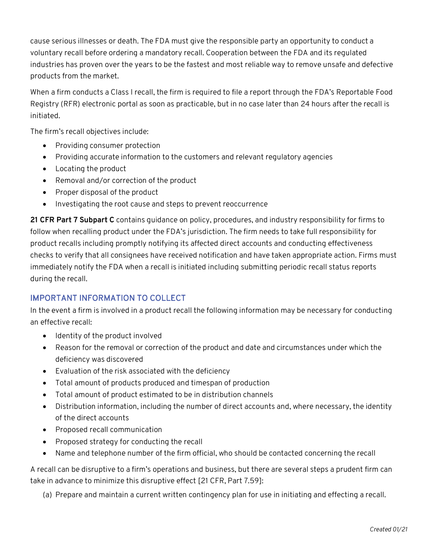cause serious illnesses or death. The FDA must give the responsible party an opportunity to conduct a voluntary recall before ordering a mandatory recall. Cooperation between the FDA and its regulated industries has proven over the years to be the fastest and most reliable way to remove unsafe and defective products from the market.

When a firm conducts a Class I recall, the firm is required to file a report through the FDA's Reportable Food Registry (RFR) electronic portal as soon as practicable, but in no case later than 24 hours after the recall is initiated.

The firm's recall objectives include:

- Providing consumer protection
- Providing accurate information to the customers and relevant regulatory agencies
- Locating the product
- Removal and/or correction of the product
- Proper disposal of the product
- Investigating the root cause and steps to prevent reoccurrence

**21 CFR Part 7 Subpart C** contains guidance on policy, procedures, and industry responsibility for firms to follow when recalling product under the FDA's jurisdiction. The firm needs to take full responsibility for product recalls including promptly notifying its affected direct accounts and conducting effectiveness checks to verify that all consignees have received notification and have taken appropriate action. Firms must immediately notify the FDA when a recall is initiated including submitting periodic recall status reports during the recall.

# IMPORTANT INFORMATION TO COLLECT

In the event a firm is involved in a product recall the following information may be necessary for conducting an effective recall:

- Identity of the product involved
- Reason for the removal or correction of the product and date and circumstances under which the deficiency was discovered
- Evaluation of the risk associated with the deficiency
- Total amount of products produced and timespan of production
- Total amount of product estimated to be in distribution channels
- Distribution information, including the number of direct accounts and, where necessary, the identity of the direct accounts
- Proposed recall communication
- Proposed strategy for conducting the recall
- Name and telephone number of the firm official, who should be contacted concerning the recall

A recall can be disruptive to a firm's operations and business, but there are several steps a prudent firm can take in advance to minimize this disruptive effect [21 CFR, Part 7.59]:

(a) Prepare and maintain a current written contingency plan for use in initiating and effecting a recall.